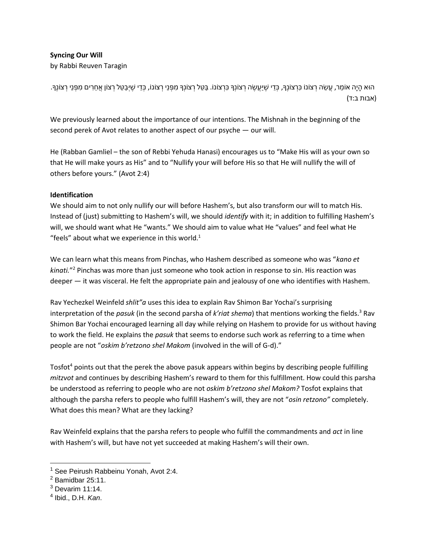## **Syncing Our Will**

by Rabbi Reuven Taragin

ּהוּא הָיָה אוֹמֵר, עֲשֵׂה רְצוֹנוֹ כִּרְצוֹנֶךָּ, כְּדֵי שֶׁיַּעֲשֶׂה רְצוֹנְךָּ כִּרְצוֹנוֹ. בַּטֵל רְצוֹנו, מִפְּנֵי רְצוֹנוֹ, כְּדֵי שֶׁיְבַטֵּל רְצוֹן אֲחֵרִים מִפְּנֵי רְצוֹנֶךָּ. (אבות ב:ד)

We previously learned about the importance of our intentions. The Mishnah in the beginning of the second perek of Avot relates to another aspect of our psyche — our will.

He (Rabban Gamliel – the son of Rebbi Yehuda Hanasi) encourages us to "Make His will as your own so that He will make yours as His" and to "Nullify your will before His so that He will nullify the will of others before yours." (Avot 2:4)

## **Identification**

We should aim to not only nullify our will before Hashem's, but also transform our will to match His. Instead of (just) submitting to Hashem's will, we should *identify* with it; in addition to fulfilling Hashem's will, we should want what He "wants." We should aim to value what He "values" and feel what He "feels" about what we experience in this world. $1$ 

We can learn what this means from Pinchas, who Hashem described as someone who was "*kano et kinati.*" <sup>2</sup> Pinchas was more than just someone who took action in response to sin. His reaction was deeper — it was visceral. He felt the appropriate pain and jealousy of one who identifies with Hashem.

Rav Yechezkel Weinfeld *shlit"a* uses this idea to explain Rav Shimon Bar Yochai's surprising interpretation of the *pasuk* (in the second parsha of *k'riat shema*) that mentions working the fields.<sup>3</sup> Rav Shimon Bar Yochai encouraged learning all day while relying on Hashem to provide for us without having to work the field. He explains the *pasuk* that seems to endorse such work as referring to a time when people are not "*oskim b'retzono shel Makom* (involved in the will of G-d)."

Tosfot<sup>4</sup> points out that the perek the above pasuk appears within begins by describing people fulfilling *mitzvot* and continues by describing Hashem's reward to them for this fulfillment. How could this parsha be understood as referring to people who are not *oskim b'retzono shel Makom?* Tosfot explains that although the parsha refers to people who fulfill Hashem's will, they are not "*osin retzono"* completely. What does this mean? What are they lacking?

Rav Weinfeld explains that the parsha refers to people who fulfill the commandments and *act* in line with Hashem's will, but have not yet succeeded at making Hashem's will their own.

 $\overline{a}$ 

<sup>&</sup>lt;sup>1</sup> See Peirush Rabbeinu Yonah, Avot 2:4.

 $2$  Bamidbar 25:11.

 $3$  Devarim 11:14.

<sup>4</sup> Ibid., D.H. *Kan*.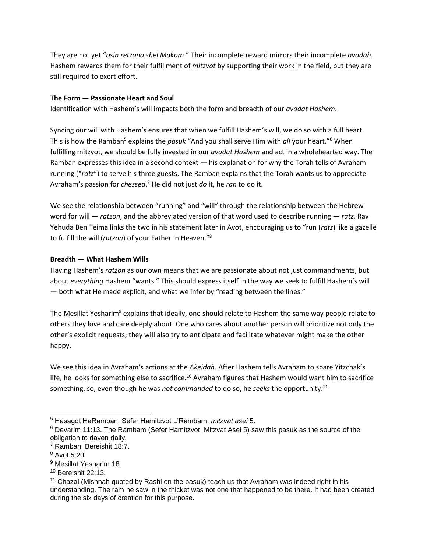They are not yet "*osin retzono shel Makom*." Their incomplete reward mirrors their incomplete *avodah*. Hashem rewards them for their fulfillment of *mitzvot* by supporting their work in the field, but they are still required to exert effort.

## **The Form — Passionate Heart and Soul**

Identification with Hashem's will impacts both the form and breadth of our *avodat Hashem*.

Syncing our will with Hashem's ensures that when we fulfill Hashem's will, we do so with a full heart. This is how the Ramban<sup>5</sup> explains the *pasuk* "And you shall serve Him with *all* your heart."<sup>6</sup> When fulfilling mitzvot, we should be fully invested in our *avodat Hashem* and act in a wholehearted way. The Ramban expresses this idea in a second context — his explanation for why the Torah tells of Avraham running ("*ratz*") to serve his three guests. The Ramban explains that the Torah wants us to appreciate Avraham's passion for *chessed*. <sup>7</sup> He did not just *do* it, he *ran* to do it.

We see the relationship between "running" and "will" through the relationship between the Hebrew word for will — *ratzon*, and the abbreviated version of that word used to describe running — *ratz.* Rav Yehuda Ben Teima links the two in his statement later in Avot, encouraging us to "run (*ratz*) like a gazelle to fulfill the will (*ratzon*) of your Father in Heaven."<sup>8</sup>

## **Breadth — What Hashem Wills**

Having Hashem's *ratzon* as our own means that we are passionate about not just commandments, but about *everything* Hashem "wants." This should express itself in the way we seek to fulfill Hashem's will — both what He made explicit, and what we infer by "reading between the lines."

The Mesillat Yesharim<sup>9</sup> explains that ideally, one should relate to Hashem the same way people relate to others they love and care deeply about. One who cares about another person will prioritize not only the other's explicit requests; they will also try to anticipate and facilitate whatever might make the other happy.

We see this idea in Avraham's actions at the *Akeidah.* After Hashem tells Avraham to spare Yitzchak's life, he looks for something else to sacrifice.<sup>10</sup> Avraham figures that Hashem would want him to sacrifice something, so, even though he was *not commanded* to do so, he *seeks* the opportunity.<sup>11</sup>

 $\overline{a}$ 

<sup>5</sup> Hasagot HaRamban, Sefer Hamitzvot L'Rambam, *mitzvat asei* 5.

<sup>&</sup>lt;sup>6</sup> Devarim 11:13. The Rambam (Sefer Hamitzvot, Mitzvat Asei 5) saw this pasuk as the source of the obligation to daven daily.

<sup>7</sup> Ramban, Bereishit 18:7.

<sup>8</sup> Avot 5:20.

<sup>9</sup> Mesillat Yesharim 18.

 $10$  Bereishit 22:13.

 $11$  Chazal (Mishnah quoted by Rashi on the pasuk) teach us that Avraham was indeed right in his understanding. The ram he saw in the thicket was not one that happened to be there. It had been created during the six days of creation for this purpose.